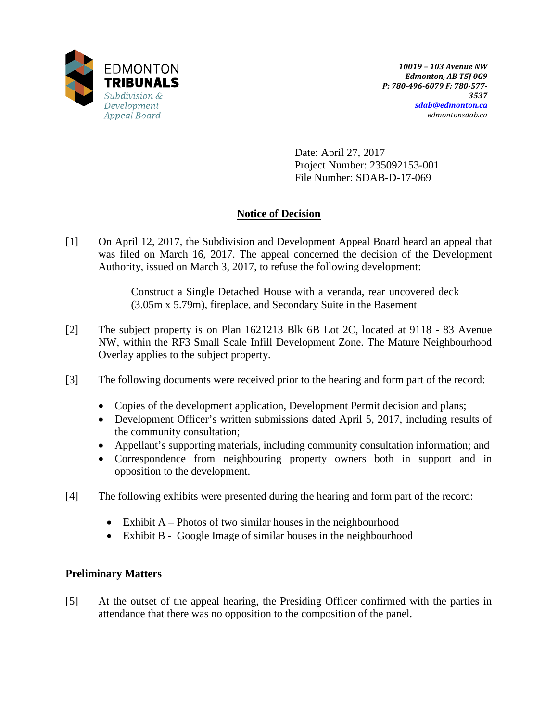

Date: April 27, 2017 Project Number: 235092153-001 File Number: SDAB-D-17-069

# **Notice of Decision**

[1] On April 12, 2017, the Subdivision and Development Appeal Board heard an appeal that was filed on March 16, 2017. The appeal concerned the decision of the Development Authority, issued on March 3, 2017, to refuse the following development:

> Construct a Single Detached House with a veranda, rear uncovered deck (3.05m x 5.79m), fireplace, and Secondary Suite in the Basement

- [2] The subject property is on Plan 1621213 Blk 6B Lot 2C, located at 9118 83 Avenue NW, within the RF3 Small Scale Infill Development Zone. The Mature Neighbourhood Overlay applies to the subject property.
- [3] The following documents were received prior to the hearing and form part of the record:
	- Copies of the development application, Development Permit decision and plans;
	- Development Officer's written submissions dated April 5, 2017, including results of the community consultation;
	- Appellant's supporting materials, including community consultation information; and
	- Correspondence from neighbouring property owners both in support and in opposition to the development.
- [4] The following exhibits were presented during the hearing and form part of the record:
	- Exhibit  $A$  Photos of two similar houses in the neighbourhood
	- Exhibit B Google Image of similar houses in the neighbourhood

## **Preliminary Matters**

[5] At the outset of the appeal hearing, the Presiding Officer confirmed with the parties in attendance that there was no opposition to the composition of the panel.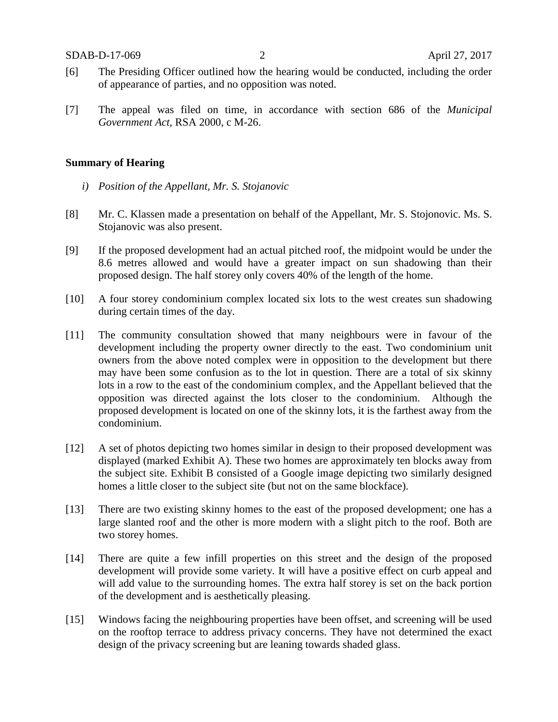- [6] The Presiding Officer outlined how the hearing would be conducted, including the order of appearance of parties, and no opposition was noted.
- [7] The appeal was filed on time, in accordance with section 686 of the *Municipal Government Act*, RSA 2000, c M-26.

### **Summary of Hearing**

- *i) Position of the Appellant, Mr. S. Stojanovic*
- [8] Mr. C. Klassen made a presentation on behalf of the Appellant, Mr. S. Stojonovic. Ms. S. Stojanovic was also present.
- [9] If the proposed development had an actual pitched roof, the midpoint would be under the 8.6 metres allowed and would have a greater impact on sun shadowing than their proposed design. The half storey only covers 40% of the length of the home.
- [10] A four storey condominium complex located six lots to the west creates sun shadowing during certain times of the day.
- [11] The community consultation showed that many neighbours were in favour of the development including the property owner directly to the east. Two condominium unit owners from the above noted complex were in opposition to the development but there may have been some confusion as to the lot in question. There are a total of six skinny lots in a row to the east of the condominium complex, and the Appellant believed that the opposition was directed against the lots closer to the condominium. Although the proposed development is located on one of the skinny lots, it is the farthest away from the condominium.
- [12] A set of photos depicting two homes similar in design to their proposed development was displayed (marked Exhibit A). These two homes are approximately ten blocks away from the subject site. Exhibit B consisted of a Google image depicting two similarly designed homes a little closer to the subject site (but not on the same blockface).
- [13] There are two existing skinny homes to the east of the proposed development; one has a large slanted roof and the other is more modern with a slight pitch to the roof. Both are two storey homes.
- [14] There are quite a few infill properties on this street and the design of the proposed development will provide some variety. It will have a positive effect on curb appeal and will add value to the surrounding homes. The extra half storey is set on the back portion of the development and is aesthetically pleasing.
- [15] Windows facing the neighbouring properties have been offset, and screening will be used on the rooftop terrace to address privacy concerns. They have not determined the exact design of the privacy screening but are leaning towards shaded glass.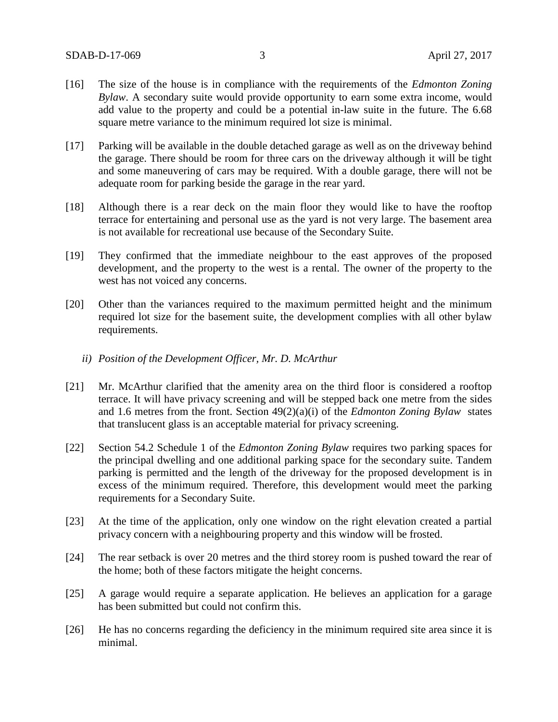- [16] The size of the house is in compliance with the requirements of the *Edmonton Zoning Bylaw*. A secondary suite would provide opportunity to earn some extra income, would add value to the property and could be a potential in-law suite in the future. The 6.68 square metre variance to the minimum required lot size is minimal.
- [17] Parking will be available in the double detached garage as well as on the driveway behind the garage. There should be room for three cars on the driveway although it will be tight and some maneuvering of cars may be required. With a double garage, there will not be adequate room for parking beside the garage in the rear yard.
- [18] Although there is a rear deck on the main floor they would like to have the rooftop terrace for entertaining and personal use as the yard is not very large. The basement area is not available for recreational use because of the Secondary Suite.
- [19] They confirmed that the immediate neighbour to the east approves of the proposed development, and the property to the west is a rental. The owner of the property to the west has not voiced any concerns.
- [20] Other than the variances required to the maximum permitted height and the minimum required lot size for the basement suite, the development complies with all other bylaw requirements.
	- *ii) Position of the Development Officer, Mr. D. McArthur*
- [21] Mr. McArthur clarified that the amenity area on the third floor is considered a rooftop terrace. It will have privacy screening and will be stepped back one metre from the sides and 1.6 metres from the front. Section 49(2)(a)(i) of the *Edmonton Zoning Bylaw* states that translucent glass is an acceptable material for privacy screening.
- [22] Section 54.2 Schedule 1 of the *Edmonton Zoning Bylaw* requires two parking spaces for the principal dwelling and one additional parking space for the secondary suite. Tandem parking is permitted and the length of the driveway for the proposed development is in excess of the minimum required. Therefore, this development would meet the parking requirements for a Secondary Suite.
- [23] At the time of the application, only one window on the right elevation created a partial privacy concern with a neighbouring property and this window will be frosted.
- [24] The rear setback is over 20 metres and the third storey room is pushed toward the rear of the home; both of these factors mitigate the height concerns.
- [25] A garage would require a separate application. He believes an application for a garage has been submitted but could not confirm this.
- [26] He has no concerns regarding the deficiency in the minimum required site area since it is minimal.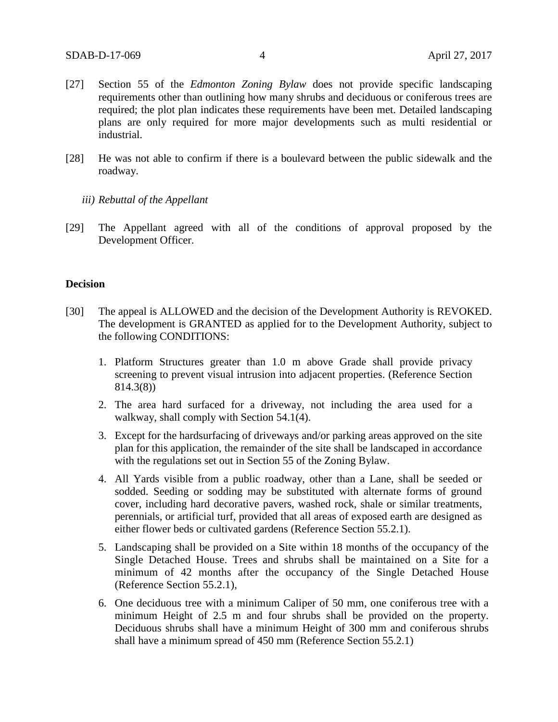- [27] Section 55 of the *Edmonton Zoning Bylaw* does not provide specific landscaping requirements other than outlining how many shrubs and deciduous or coniferous trees are required; the plot plan indicates these requirements have been met. Detailed landscaping plans are only required for more major developments such as multi residential or industrial.
- [28] He was not able to confirm if there is a boulevard between the public sidewalk and the roadway.
	- *iii) Rebuttal of the Appellant*
- [29] The Appellant agreed with all of the conditions of approval proposed by the Development Officer.

#### **Decision**

- [30] The appeal is ALLOWED and the decision of the Development Authority is REVOKED. The development is GRANTED as applied for to the Development Authority, subject to the following CONDITIONS:
	- 1. Platform Structures greater than 1.0 m above Grade shall provide privacy screening to prevent visual intrusion into adjacent properties. (Reference Section 814.3(8))
	- 2. The area hard surfaced for a driveway, not including the area used for a walkway, shall comply with Section 54.1(4).
	- 3. Except for the hardsurfacing of driveways and/or parking areas approved on the site plan for this application, the remainder of the site shall be landscaped in accordance with the regulations set out in Section 55 of the Zoning Bylaw.
	- 4. All Yards visible from a public roadway, other than a Lane, shall be seeded or sodded. Seeding or sodding may be substituted with alternate forms of ground cover, including hard decorative pavers, washed rock, shale or similar treatments, perennials, or artificial turf, provided that all areas of exposed earth are designed as either flower beds or cultivated gardens (Reference Section 55.2.1).
	- 5. Landscaping shall be provided on a Site within 18 months of the occupancy of the Single Detached House. Trees and shrubs shall be maintained on a Site for a minimum of 42 months after the occupancy of the Single Detached House (Reference Section 55.2.1),
	- 6. One deciduous tree with a minimum Caliper of 50 mm, one coniferous tree with a minimum Height of 2.5 m and four shrubs shall be provided on the property. Deciduous shrubs shall have a minimum Height of 300 mm and coniferous shrubs shall have a minimum spread of 450 mm (Reference Section 55.2.1)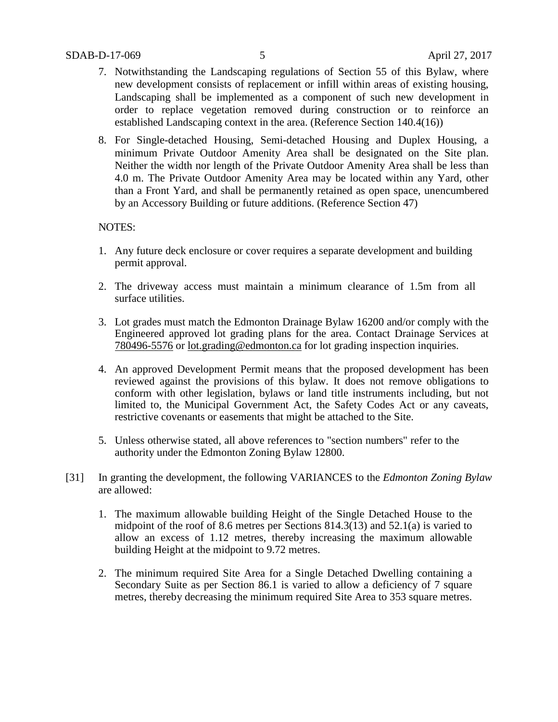- 7. Notwithstanding the Landscaping regulations of Section 55 of this Bylaw, where new development consists of replacement or infill within areas of existing housing, Landscaping shall be implemented as a component of such new development in order to replace vegetation removed during construction or to reinforce an established Landscaping context in the area. (Reference Section 140.4(16))
- 8. For Single-detached Housing, Semi-detached Housing and Duplex Housing, a minimum Private Outdoor Amenity Area shall be designated on the Site plan. Neither the width nor length of the Private Outdoor Amenity Area shall be less than 4.0 m. The Private Outdoor Amenity Area may be located within any Yard, other than a Front Yard, and shall be permanently retained as open space, unencumbered by an Accessory Building or future additions. (Reference Section 47)

## NOTES:

- 1. Any future deck enclosure or cover requires a separate development and building permit approval.
- 2. The driveway access must maintain a minimum clearance of 1.5m from all surface utilities.
- 3. Lot grades must match the Edmonton Drainage Bylaw 16200 and/or comply with the Engineered approved lot grading plans for the area. Contact Drainage Services at 780496-5576 or lot.grading@edmonton.ca for lot grading inspection inquiries.
- 4. An approved Development Permit means that the proposed development has been reviewed against the provisions of this bylaw. It does not remove obligations to conform with other legislation, bylaws or land title instruments including, but not limited to, the Municipal Government Act, the Safety Codes Act or any caveats, restrictive covenants or easements that might be attached to the Site.
- 5. Unless otherwise stated, all above references to "section numbers" refer to the authority under the Edmonton Zoning Bylaw 12800.
- [31] In granting the development, the following VARIANCES to the *Edmonton Zoning Bylaw*  are allowed:
	- 1. The maximum allowable building Height of the Single Detached House to the midpoint of the roof of 8.6 metres per Sections 814.3(13) and 52.1(a) is varied to allow an excess of 1.12 metres, thereby increasing the maximum allowable building Height at the midpoint to 9.72 metres.
	- 2. The minimum required Site Area for a Single Detached Dwelling containing a Secondary Suite as per Section 86.1 is varied to allow a deficiency of 7 square metres, thereby decreasing the minimum required Site Area to 353 square metres.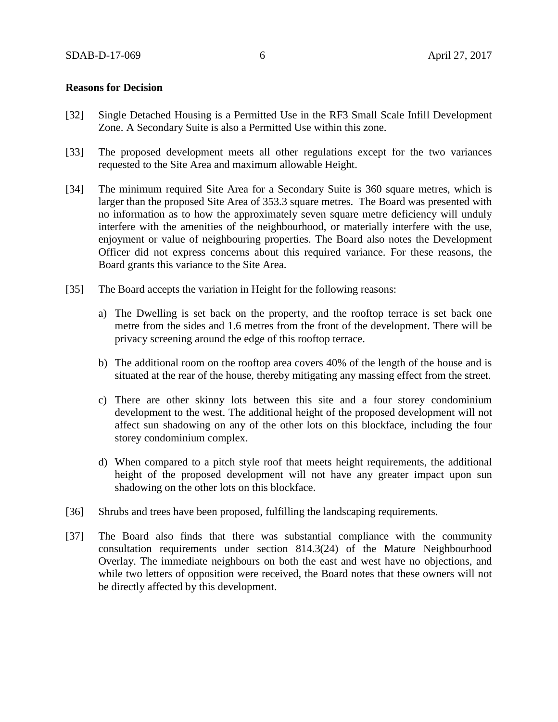### **Reasons for Decision**

- [32] Single Detached Housing is a Permitted Use in the RF3 Small Scale Infill Development Zone. A Secondary Suite is also a Permitted Use within this zone.
- [33] The proposed development meets all other regulations except for the two variances requested to the Site Area and maximum allowable Height.
- [34] The minimum required Site Area for a Secondary Suite is 360 square metres, which is larger than the proposed Site Area of 353.3 square metres. The Board was presented with no information as to how the approximately seven square metre deficiency will unduly interfere with the amenities of the neighbourhood, or materially interfere with the use, enjoyment or value of neighbouring properties. The Board also notes the Development Officer did not express concerns about this required variance. For these reasons, the Board grants this variance to the Site Area.
- [35] The Board accepts the variation in Height for the following reasons:
	- a) The Dwelling is set back on the property, and the rooftop terrace is set back one metre from the sides and 1.6 metres from the front of the development. There will be privacy screening around the edge of this rooftop terrace.
	- b) The additional room on the rooftop area covers 40% of the length of the house and is situated at the rear of the house, thereby mitigating any massing effect from the street.
	- c) There are other skinny lots between this site and a four storey condominium development to the west. The additional height of the proposed development will not affect sun shadowing on any of the other lots on this blockface, including the four storey condominium complex.
	- d) When compared to a pitch style roof that meets height requirements, the additional height of the proposed development will not have any greater impact upon sun shadowing on the other lots on this blockface.
- [36] Shrubs and trees have been proposed, fulfilling the landscaping requirements.
- [37] The Board also finds that there was substantial compliance with the community consultation requirements under section 814.3(24) of the Mature Neighbourhood Overlay. The immediate neighbours on both the east and west have no objections, and while two letters of opposition were received, the Board notes that these owners will not be directly affected by this development.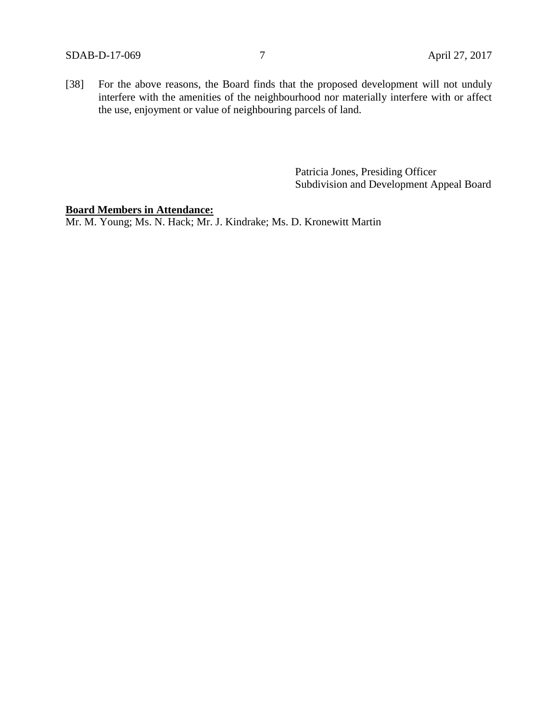[38] For the above reasons, the Board finds that the proposed development will not unduly interfere with the amenities of the neighbourhood nor materially interfere with or affect the use, enjoyment or value of neighbouring parcels of land.

> Patricia Jones, Presiding Officer Subdivision and Development Appeal Board

#### **Board Members in Attendance:**

Mr. M. Young; Ms. N. Hack; Mr. J. Kindrake; Ms. D. Kronewitt Martin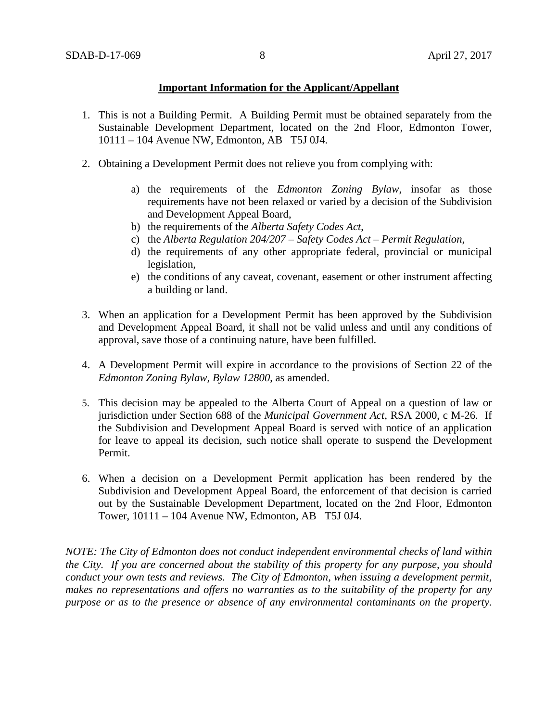## **Important Information for the Applicant/Appellant**

- 1. This is not a Building Permit. A Building Permit must be obtained separately from the Sustainable Development Department, located on the 2nd Floor, Edmonton Tower, 10111 – 104 Avenue NW, Edmonton, AB T5J 0J4.
- 2. Obtaining a Development Permit does not relieve you from complying with:
	- a) the requirements of the *Edmonton Zoning Bylaw*, insofar as those requirements have not been relaxed or varied by a decision of the Subdivision and Development Appeal Board,
	- b) the requirements of the *Alberta Safety Codes Act*,
	- c) the *Alberta Regulation 204/207 – Safety Codes Act – Permit Regulation*,
	- d) the requirements of any other appropriate federal, provincial or municipal legislation,
	- e) the conditions of any caveat, covenant, easement or other instrument affecting a building or land.
- 3. When an application for a Development Permit has been approved by the Subdivision and Development Appeal Board, it shall not be valid unless and until any conditions of approval, save those of a continuing nature, have been fulfilled.
- 4. A Development Permit will expire in accordance to the provisions of Section 22 of the *Edmonton Zoning Bylaw, Bylaw 12800*, as amended.
- 5. This decision may be appealed to the Alberta Court of Appeal on a question of law or jurisdiction under Section 688 of the *Municipal Government Act*, RSA 2000, c M-26. If the Subdivision and Development Appeal Board is served with notice of an application for leave to appeal its decision, such notice shall operate to suspend the Development Permit.
- 6. When a decision on a Development Permit application has been rendered by the Subdivision and Development Appeal Board, the enforcement of that decision is carried out by the Sustainable Development Department, located on the 2nd Floor, Edmonton Tower, 10111 – 104 Avenue NW, Edmonton, AB T5J 0J4.

*NOTE: The City of Edmonton does not conduct independent environmental checks of land within the City. If you are concerned about the stability of this property for any purpose, you should conduct your own tests and reviews. The City of Edmonton, when issuing a development permit, makes no representations and offers no warranties as to the suitability of the property for any purpose or as to the presence or absence of any environmental contaminants on the property.*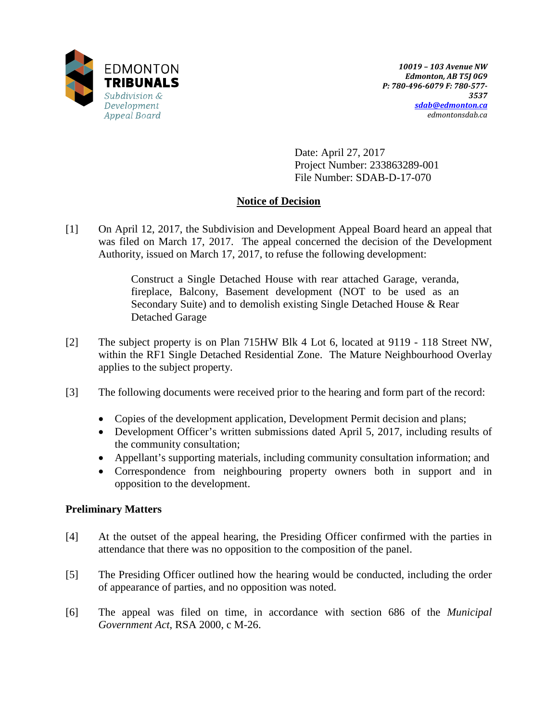

Date: April 27, 2017 Project Number: 233863289-001 File Number: SDAB-D-17-070

## **Notice of Decision**

[1] On April 12, 2017, the Subdivision and Development Appeal Board heard an appeal that was filed on March 17, 2017. The appeal concerned the decision of the Development Authority, issued on March 17, 2017, to refuse the following development:

> Construct a Single Detached House with rear attached Garage, veranda, fireplace, Balcony, Basement development (NOT to be used as an Secondary Suite) and to demolish existing Single Detached House & Rear Detached Garage

- [2] The subject property is on Plan 715HW Blk 4 Lot 6, located at 9119 118 Street NW, within the RF1 Single Detached Residential Zone. The Mature Neighbourhood Overlay applies to the subject property.
- [3] The following documents were received prior to the hearing and form part of the record:
	- Copies of the development application, Development Permit decision and plans;
	- Development Officer's written submissions dated April 5, 2017, including results of the community consultation;
	- Appellant's supporting materials, including community consultation information; and
	- Correspondence from neighbouring property owners both in support and in opposition to the development.

## **Preliminary Matters**

- [4] At the outset of the appeal hearing, the Presiding Officer confirmed with the parties in attendance that there was no opposition to the composition of the panel.
- [5] The Presiding Officer outlined how the hearing would be conducted, including the order of appearance of parties, and no opposition was noted.
- [6] The appeal was filed on time, in accordance with section 686 of the *Municipal Government Act*, RSA 2000, c M-26.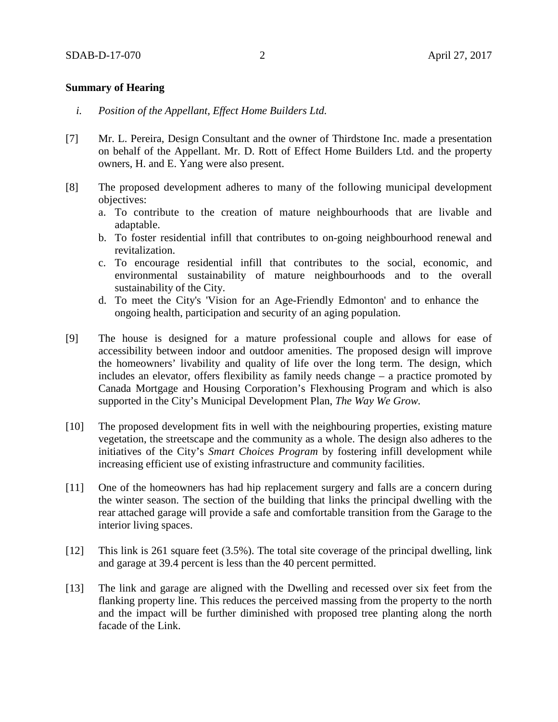### **Summary of Hearing**

- *i. Position of the Appellant, Effect Home Builders Ltd.*
- [7] Mr. L. Pereira, Design Consultant and the owner of Thirdstone Inc. made a presentation on behalf of the Appellant. Mr. D. Rott of Effect Home Builders Ltd. and the property owners, H. and E. Yang were also present.
- [8] The proposed development adheres to many of the following municipal development objectives:
	- a. To contribute to the creation of mature neighbourhoods that are livable and adaptable.
	- b. To foster residential infill that contributes to on-going neighbourhood renewal and revitalization.
	- c. To encourage residential infill that contributes to the social, economic, and environmental sustainability of mature neighbourhoods and to the overall sustainability of the City.
	- d. To meet the City's 'Vision for an Age-Friendly Edmonton' and to enhance the ongoing health, participation and security of an aging population.
- [9] The house is designed for a mature professional couple and allows for ease of accessibility between indoor and outdoor amenities. The proposed design will improve the homeowners' livability and quality of life over the long term. The design, which includes an elevator, offers flexibility as family needs change – a practice promoted by Canada Mortgage and Housing Corporation's Flexhousing Program and which is also supported in the City's Municipal Development Plan, *The Way We Grow.*
- [10] The proposed development fits in well with the neighbouring properties, existing mature vegetation, the streetscape and the community as a whole. The design also adheres to the initiatives of the City's *Smart Choices Program* by fostering infill development while increasing efficient use of existing infrastructure and community facilities.
- [11] One of the homeowners has had hip replacement surgery and falls are a concern during the winter season. The section of the building that links the principal dwelling with the rear attached garage will provide a safe and comfortable transition from the Garage to the interior living spaces.
- [12] This link is 261 square feet (3.5%). The total site coverage of the principal dwelling, link and garage at 39.4 percent is less than the 40 percent permitted.
- [13] The link and garage are aligned with the Dwelling and recessed over six feet from the flanking property line. This reduces the perceived massing from the property to the north and the impact will be further diminished with proposed tree planting along the north facade of the Link.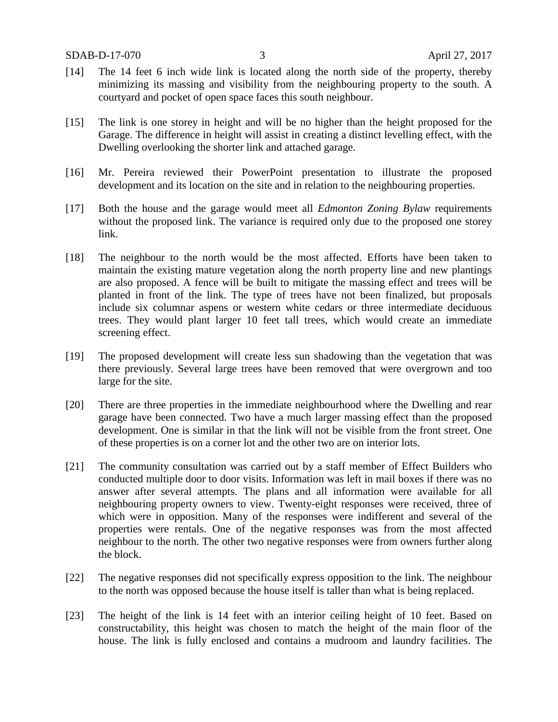- [14] The 14 feet 6 inch wide link is located along the north side of the property, thereby minimizing its massing and visibility from the neighbouring property to the south. A courtyard and pocket of open space faces this south neighbour.
- [15] The link is one storey in height and will be no higher than the height proposed for the Garage. The difference in height will assist in creating a distinct levelling effect, with the Dwelling overlooking the shorter link and attached garage.
- [16] Mr. Pereira reviewed their PowerPoint presentation to illustrate the proposed development and its location on the site and in relation to the neighbouring properties.
- [17] Both the house and the garage would meet all *Edmonton Zoning Bylaw* requirements without the proposed link. The variance is required only due to the proposed one storey link.
- [18] The neighbour to the north would be the most affected. Efforts have been taken to maintain the existing mature vegetation along the north property line and new plantings are also proposed. A fence will be built to mitigate the massing effect and trees will be planted in front of the link. The type of trees have not been finalized, but proposals include six columnar aspens or western white cedars or three intermediate deciduous trees. They would plant larger 10 feet tall trees, which would create an immediate screening effect.
- [19] The proposed development will create less sun shadowing than the vegetation that was there previously. Several large trees have been removed that were overgrown and too large for the site.
- [20] There are three properties in the immediate neighbourhood where the Dwelling and rear garage have been connected. Two have a much larger massing effect than the proposed development. One is similar in that the link will not be visible from the front street. One of these properties is on a corner lot and the other two are on interior lots.
- [21] The community consultation was carried out by a staff member of Effect Builders who conducted multiple door to door visits. Information was left in mail boxes if there was no answer after several attempts. The plans and all information were available for all neighbouring property owners to view. Twenty-eight responses were received, three of which were in opposition. Many of the responses were indifferent and several of the properties were rentals. One of the negative responses was from the most affected neighbour to the north. The other two negative responses were from owners further along the block.
- [22] The negative responses did not specifically express opposition to the link. The neighbour to the north was opposed because the house itself is taller than what is being replaced.
- [23] The height of the link is 14 feet with an interior ceiling height of 10 feet. Based on constructability, this height was chosen to match the height of the main floor of the house. The link is fully enclosed and contains a mudroom and laundry facilities. The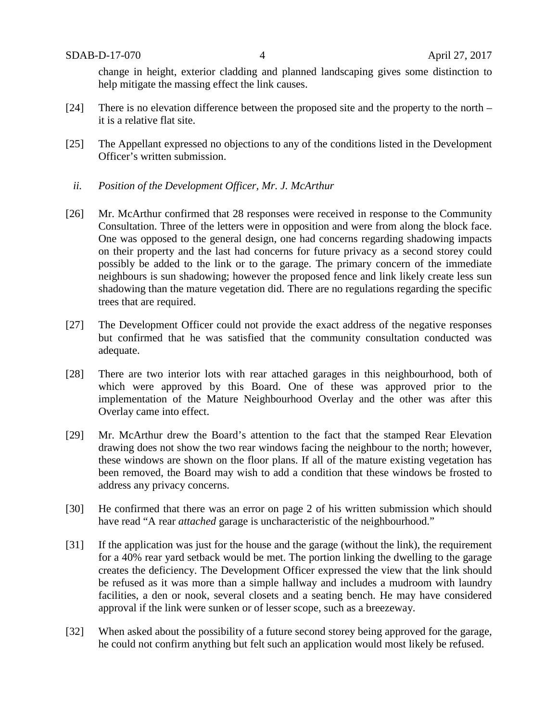change in height, exterior cladding and planned landscaping gives some distinction to help mitigate the massing effect the link causes.

- [24] There is no elevation difference between the proposed site and the property to the north it is a relative flat site.
- [25] The Appellant expressed no objections to any of the conditions listed in the Development Officer's written submission.
	- *ii. Position of the Development Officer, Mr. J. McArthur*
- [26] Mr. McArthur confirmed that 28 responses were received in response to the Community Consultation. Three of the letters were in opposition and were from along the block face. One was opposed to the general design, one had concerns regarding shadowing impacts on their property and the last had concerns for future privacy as a second storey could possibly be added to the link or to the garage. The primary concern of the immediate neighbours is sun shadowing; however the proposed fence and link likely create less sun shadowing than the mature vegetation did. There are no regulations regarding the specific trees that are required.
- [27] The Development Officer could not provide the exact address of the negative responses but confirmed that he was satisfied that the community consultation conducted was adequate.
- [28] There are two interior lots with rear attached garages in this neighbourhood, both of which were approved by this Board. One of these was approved prior to the implementation of the Mature Neighbourhood Overlay and the other was after this Overlay came into effect.
- [29] Mr. McArthur drew the Board's attention to the fact that the stamped Rear Elevation drawing does not show the two rear windows facing the neighbour to the north; however, these windows are shown on the floor plans. If all of the mature existing vegetation has been removed, the Board may wish to add a condition that these windows be frosted to address any privacy concerns.
- [30] He confirmed that there was an error on page 2 of his written submission which should have read "A rear *attached* garage is uncharacteristic of the neighbourhood."
- [31] If the application was just for the house and the garage (without the link), the requirement for a 40% rear yard setback would be met. The portion linking the dwelling to the garage creates the deficiency. The Development Officer expressed the view that the link should be refused as it was more than a simple hallway and includes a mudroom with laundry facilities, a den or nook, several closets and a seating bench. He may have considered approval if the link were sunken or of lesser scope, such as a breezeway.
- [32] When asked about the possibility of a future second storey being approved for the garage, he could not confirm anything but felt such an application would most likely be refused.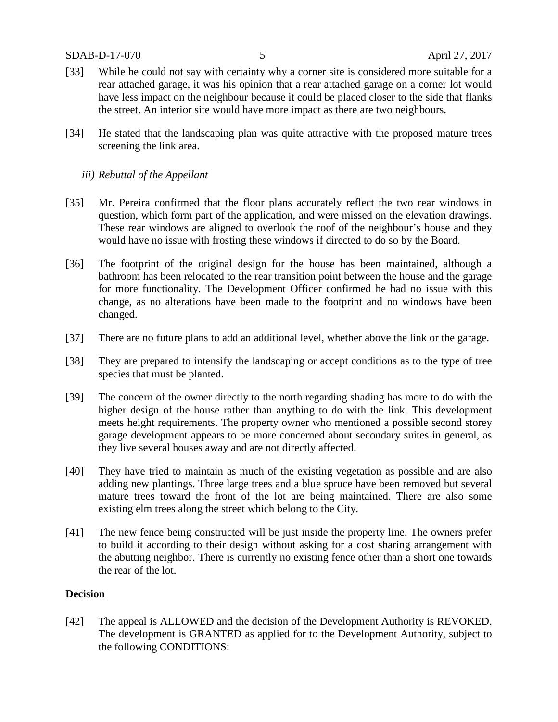- [33] While he could not say with certainty why a corner site is considered more suitable for a rear attached garage, it was his opinion that a rear attached garage on a corner lot would have less impact on the neighbour because it could be placed closer to the side that flanks the street. An interior site would have more impact as there are two neighbours.
- [34] He stated that the landscaping plan was quite attractive with the proposed mature trees screening the link area.

### *iii) Rebuttal of the Appellant*

- [35] Mr. Pereira confirmed that the floor plans accurately reflect the two rear windows in question, which form part of the application, and were missed on the elevation drawings. These rear windows are aligned to overlook the roof of the neighbour's house and they would have no issue with frosting these windows if directed to do so by the Board.
- [36] The footprint of the original design for the house has been maintained, although a bathroom has been relocated to the rear transition point between the house and the garage for more functionality. The Development Officer confirmed he had no issue with this change, as no alterations have been made to the footprint and no windows have been changed.
- [37] There are no future plans to add an additional level, whether above the link or the garage.
- [38] They are prepared to intensify the landscaping or accept conditions as to the type of tree species that must be planted.
- [39] The concern of the owner directly to the north regarding shading has more to do with the higher design of the house rather than anything to do with the link. This development meets height requirements. The property owner who mentioned a possible second storey garage development appears to be more concerned about secondary suites in general, as they live several houses away and are not directly affected.
- [40] They have tried to maintain as much of the existing vegetation as possible and are also adding new plantings. Three large trees and a blue spruce have been removed but several mature trees toward the front of the lot are being maintained. There are also some existing elm trees along the street which belong to the City.
- [41] The new fence being constructed will be just inside the property line. The owners prefer to build it according to their design without asking for a cost sharing arrangement with the abutting neighbor. There is currently no existing fence other than a short one towards the rear of the lot.

### **Decision**

[42] The appeal is ALLOWED and the decision of the Development Authority is REVOKED. The development is GRANTED as applied for to the Development Authority, subject to the following CONDITIONS: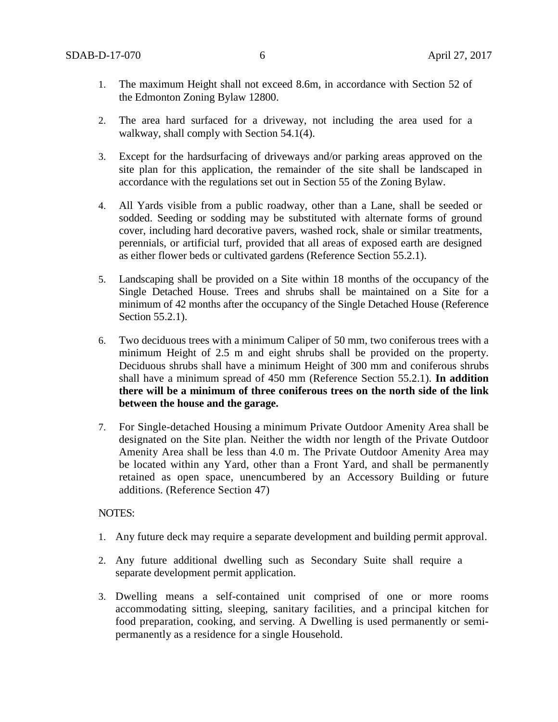- 1. The maximum Height shall not exceed 8.6m, in accordance with Section 52 of the Edmonton Zoning Bylaw 12800.
- 2. The area hard surfaced for a driveway, not including the area used for a walkway, shall comply with Section 54.1(4).
- 3. Except for the hardsurfacing of driveways and/or parking areas approved on the site plan for this application, the remainder of the site shall be landscaped in accordance with the regulations set out in Section 55 of the Zoning Bylaw.
- 4. All Yards visible from a public roadway, other than a Lane, shall be seeded or sodded. Seeding or sodding may be substituted with alternate forms of ground cover, including hard decorative pavers, washed rock, shale or similar treatments, perennials, or artificial turf, provided that all areas of exposed earth are designed as either flower beds or cultivated gardens (Reference Section 55.2.1).
- 5. Landscaping shall be provided on a Site within 18 months of the occupancy of the Single Detached House. Trees and shrubs shall be maintained on a Site for a minimum of 42 months after the occupancy of the Single Detached House (Reference Section 55.2.1).
- 6. Two deciduous trees with a minimum Caliper of 50 mm, two coniferous trees with a minimum Height of 2.5 m and eight shrubs shall be provided on the property. Deciduous shrubs shall have a minimum Height of 300 mm and coniferous shrubs shall have a minimum spread of 450 mm (Reference Section 55.2.1). **In addition there will be a minimum of three coniferous trees on the north side of the link between the house and the garage.**
- 7. For Single-detached Housing a minimum Private Outdoor Amenity Area shall be designated on the Site plan. Neither the width nor length of the Private Outdoor Amenity Area shall be less than 4.0 m. The Private Outdoor Amenity Area may be located within any Yard, other than a Front Yard, and shall be permanently retained as open space, unencumbered by an Accessory Building or future additions. (Reference Section 47)

#### NOTES:

- 1. Any future deck may require a separate development and building permit approval.
- 2. Any future additional dwelling such as Secondary Suite shall require a separate development permit application.
- 3. Dwelling means a self-contained unit comprised of one or more rooms accommodating sitting, sleeping, sanitary facilities, and a principal kitchen for food preparation, cooking, and serving. A Dwelling is used permanently or semipermanently as a residence for a single Household.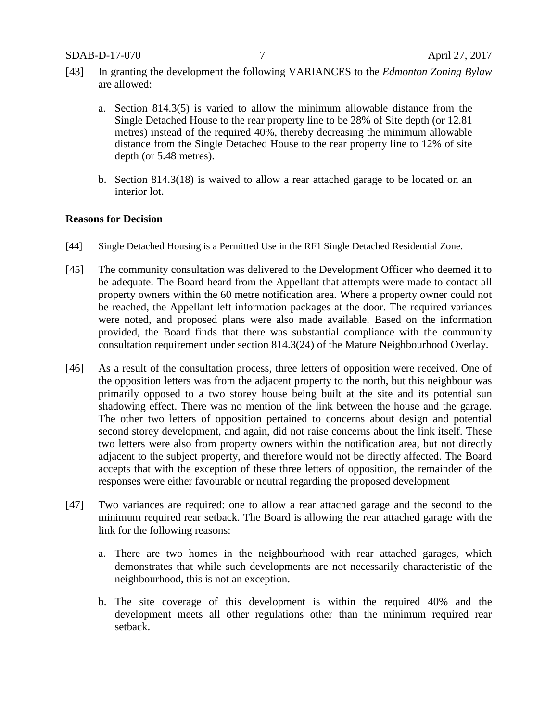- [43] In granting the development the following VARIANCES to the *Edmonton Zoning Bylaw*  are allowed:
	- a. Section 814.3(5) is varied to allow the minimum allowable distance from the Single Detached House to the rear property line to be 28% of Site depth (or 12.81 metres) instead of the required 40%, thereby decreasing the minimum allowable distance from the Single Detached House to the rear property line to 12% of site depth (or 5.48 metres).
	- b. Section 814.3(18) is waived to allow a rear attached garage to be located on an interior lot.

### **Reasons for Decision**

- [44] Single Detached Housing is a Permitted Use in the RF1 Single Detached Residential Zone.
- [45] The community consultation was delivered to the Development Officer who deemed it to be adequate. The Board heard from the Appellant that attempts were made to contact all property owners within the 60 metre notification area. Where a property owner could not be reached, the Appellant left information packages at the door. The required variances were noted, and proposed plans were also made available. Based on the information provided, the Board finds that there was substantial compliance with the community consultation requirement under section 814.3(24) of the Mature Neighbourhood Overlay.
- [46] As a result of the consultation process, three letters of opposition were received. One of the opposition letters was from the adjacent property to the north, but this neighbour was primarily opposed to a two storey house being built at the site and its potential sun shadowing effect. There was no mention of the link between the house and the garage. The other two letters of opposition pertained to concerns about design and potential second storey development, and again, did not raise concerns about the link itself. These two letters were also from property owners within the notification area, but not directly adjacent to the subject property, and therefore would not be directly affected. The Board accepts that with the exception of these three letters of opposition, the remainder of the responses were either favourable or neutral regarding the proposed development
- [47] Two variances are required: one to allow a rear attached garage and the second to the minimum required rear setback. The Board is allowing the rear attached garage with the link for the following reasons:
	- a. There are two homes in the neighbourhood with rear attached garages, which demonstrates that while such developments are not necessarily characteristic of the neighbourhood, this is not an exception.
	- b. The site coverage of this development is within the required 40% and the development meets all other regulations other than the minimum required rear setback.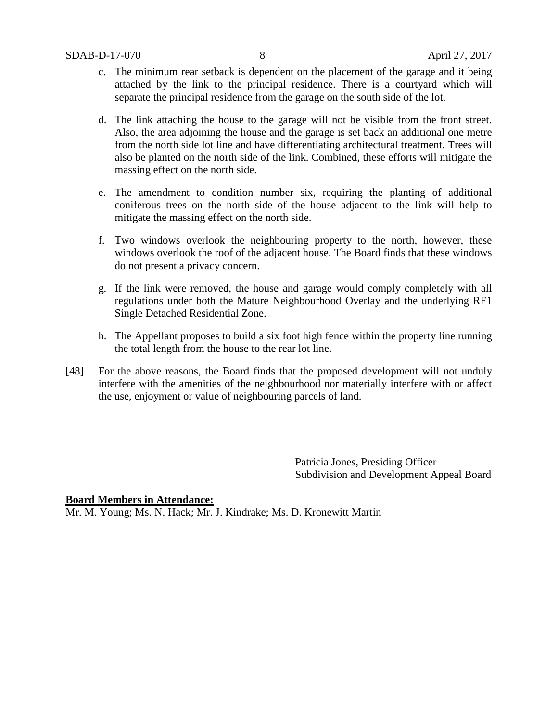- c. The minimum rear setback is dependent on the placement of the garage and it being attached by the link to the principal residence. There is a courtyard which will separate the principal residence from the garage on the south side of the lot.
- d. The link attaching the house to the garage will not be visible from the front street. Also, the area adjoining the house and the garage is set back an additional one metre from the north side lot line and have differentiating architectural treatment. Trees will also be planted on the north side of the link. Combined, these efforts will mitigate the massing effect on the north side.
- e. The amendment to condition number six, requiring the planting of additional coniferous trees on the north side of the house adjacent to the link will help to mitigate the massing effect on the north side.
- f. Two windows overlook the neighbouring property to the north, however, these windows overlook the roof of the adjacent house. The Board finds that these windows do not present a privacy concern.
- g. If the link were removed, the house and garage would comply completely with all regulations under both the Mature Neighbourhood Overlay and the underlying RF1 Single Detached Residential Zone.
- h. The Appellant proposes to build a six foot high fence within the property line running the total length from the house to the rear lot line.
- [48] For the above reasons, the Board finds that the proposed development will not unduly interfere with the amenities of the neighbourhood nor materially interfere with or affect the use, enjoyment or value of neighbouring parcels of land.

Patricia Jones, Presiding Officer Subdivision and Development Appeal Board

### **Board Members in Attendance:**

Mr. M. Young; Ms. N. Hack; Mr. J. Kindrake; Ms. D. Kronewitt Martin